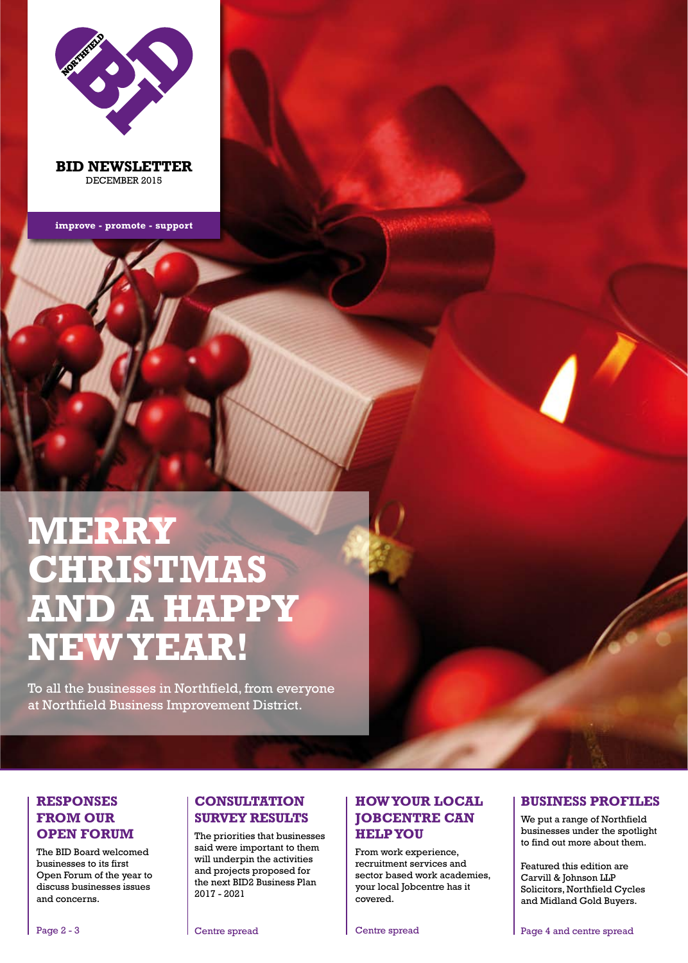

**BID NEWSLETTER** DECEMBER 2015

**improve - promote - support**

# **MERRY CHRISTMAS AND A HAPPY NEW YEAR!**

To all the businesses in Northfield, from everyone at Northfield Business Improvement District.

#### **RESPONSES FROM OUR OPEN FORUM**

The BID Board welcomed businesses to its first Open Forum of the year to discuss businesses issues and concerns.

### **CONSULTATION SURVEY RESULTS**

The priorities that businesses said were important to them will underpin the activities and projects proposed for the next BID2 Business Plan 2017 - 2021

Centre spread

NORTHERN SECTION

Business Improvement District District

#### **HOW YOUR LOCAL JOBCENTRE CAN HELP YOU**

From work experience, recruitment services and sector based work academies, your local Jobcentre has it covered.

#### **BUSINESS PROFILES**

We put a range of Northfield businesses under the spotlight to find out more about them.

Featured this edition are Carvill & Johnson LLP Solicitors, Northfield Cycles and Midland Gold Buyers.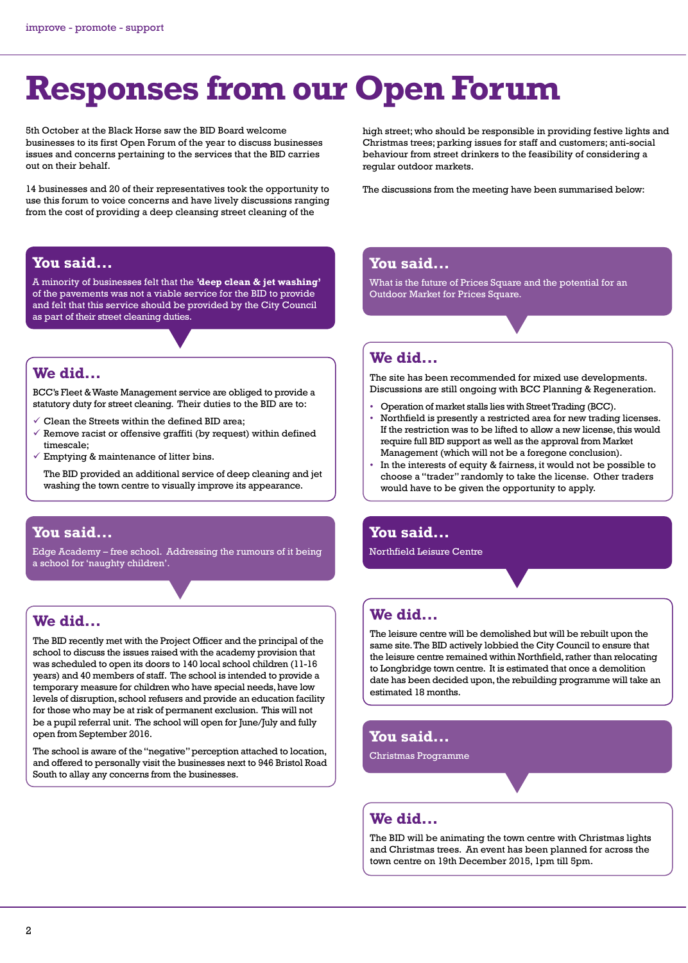# **Responses from our Open Forum**

5th October at the Black Horse saw the BID Board welcome businesses to its first Open Forum of the year to discuss businesses issues and concerns pertaining to the services that the BID carries out on their behalf.

14 businesses and 20 of their representatives took the opportunity to use this forum to voice concerns and have lively discussions ranging from the cost of providing a deep cleansing street cleaning of the

#### **You said...**

A minority of businesses felt that the **'deep clean & jet washing'**  of the pavements was not a viable service for the BID to provide and felt that this service should be provided by the City Council as part of their street cleaning duties.

#### **We did...**

BCC's Fleet & Waste Management service are obliged to provide a statutory duty for street cleaning. Their duties to the BID are to:

- $\checkmark$  Clean the Streets within the defined BID area;
- $\checkmark$  Remove racist or offensive graffiti (by request) within defined timescale;
- $\checkmark$  Emptying & maintenance of litter bins.

The BID provided an additional service of deep cleaning and jet washing the town centre to visually improve its appearance.

#### **You said...**

Edge Academy – free school. Addressing the rumours of it being a school for 'naughty children'.

# **We did...**

The BID recently met with the Project Officer and the principal of the school to discuss the issues raised with the academy provision that was scheduled to open its doors to 140 local school children (11-16 years) and 40 members of staff. The school is intended to provide a temporary measure for children who have special needs, have low levels of disruption, school refusers and provide an education facility for those who may be at risk of permanent exclusion. This will not be a pupil referral unit. The school will open for June/July and fully open from September 2016.

The school is aware of the "negative" perception attached to location, and offered to personally visit the businesses next to 946 Bristol Road South to allay any concerns from the businesses.

high street; who should be responsible in providing festive lights and Christmas trees; parking issues for staff and customers; anti-social behaviour from street drinkers to the feasibility of considering a regular outdoor markets.

The discussions from the meeting have been summarised below:

### **You said...**

What is the future of Prices Square and the potential for an Outdoor Market for Prices Square.

## **We did...**

The site has been recommended for mixed use developments. Discussions are still ongoing with BCC Planning & Regeneration.

- Operation of market stalls lies with Street Trading (BCC).
- Northfield is presently a restricted area for new trading licenses. If the restriction was to be lifted to allow a new license, this would require full BID support as well as the approval from Market Management (which will not be a foregone conclusion).
- In the interests of equity & fairness, it would not be possible to choose a "trader" randomly to take the license. Other traders would have to be given the opportunity to apply.

### **You said...**

Northfield Leisure Centre

## **We did...**

The leisure centre will be demolished but will be rebuilt upon the same site. The BID actively lobbied the City Council to ensure that the leisure centre remained within Northfield, rather than relocating to Longbridge town centre. It is estimated that once a demolition date has been decided upon, the rebuilding programme will take an estimated 18 months.

# **You said...**

Christmas Programme

#### **We did...**

The BID will be animating the town centre with Christmas lights and Christmas trees. An event has been planned for across the town centre on 19th December 2015, 1pm till 5pm.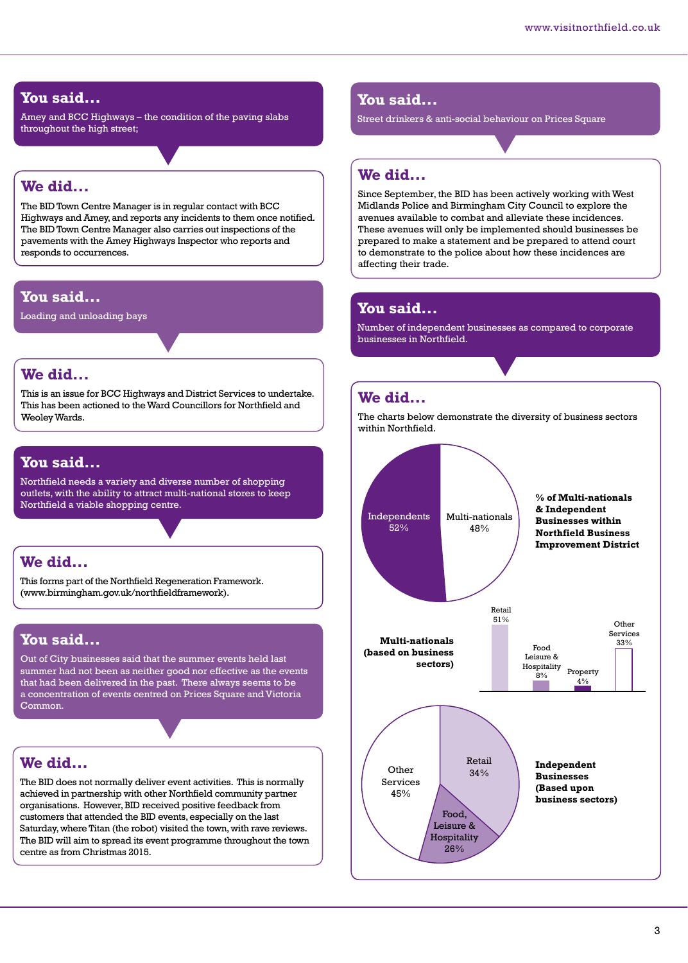#### **You said...**

Amey and BCC Highways – the condition of the paving slabs throughout the high street;

#### **We did...**

The BID Town Centre Manager is in regular contact with BCC Highways and Amey, and reports any incidents to them once notified. The BID Town Centre Manager also carries out inspections of the pavements with the Amey Highways Inspector who reports and responds to occurrences.

#### **You said...**

Loading and unloading bays

#### **We did...**

This is an issue for BCC Highways and District Services to undertake. This has been actioned to the Ward Councillors for Northfield and Weoley Wards.

#### **You said...**

Northfield needs a variety and diverse number of shopping outlets, with the ability to attract multi-national stores to keep Northfield a viable shopping centre.

#### **We did...**

This forms part of the Northfield Regeneration Framework. (www.birmingham.gov.uk/northfieldframework).

## **You said...**

Out of City businesses said that the summer events held last summer had not been as neither good nor effective as the events that had been delivered in the past. There always seems to be a concentration of events centred on Prices Square and Victoria Common.

# **We did...**

The BID does not normally deliver event activities. This is normally achieved in partnership with other Northfield community partner organisations. However, BID received positive feedback from customers that attended the BID events, especially on the last Saturday, where Titan (the robot) visited the town, with rave reviews. The BID will aim to spread its event programme throughout the town centre as from Christmas 2015.

#### **You said...**

Street drinkers & anti-social behaviour on Prices Square

#### **We did...**

Since September, the BID has been actively working with West Midlands Police and Birmingham City Council to explore the avenues available to combat and alleviate these incidences. These avenues will only be implemented should businesses be prepared to make a statement and be prepared to attend court to demonstrate to the police about how these incidences are affecting their trade.

## **You said...**

Number of independent businesses as compared to corporate businesses in Northfield.

### **We did...**

The charts below demonstrate the diversity of business sectors within Northfield.

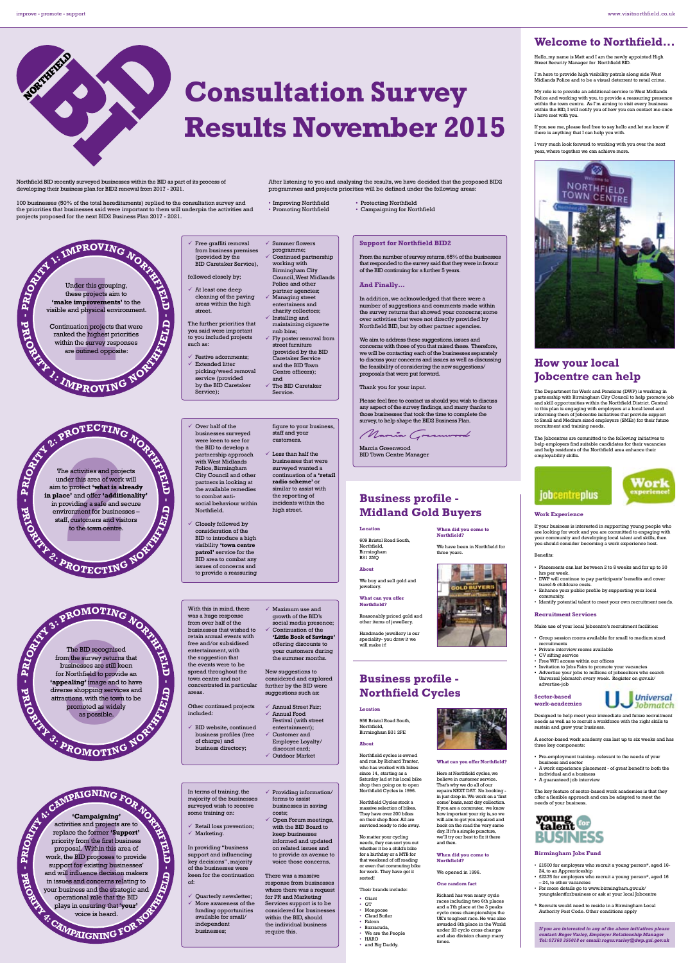NORTHEIM D

#### improve - promote - support www.visitnorthfield.co.uk

#### **Welcome to Northfield...**

Hello, my name is Matt and I am the newly appointed High Street Security Manager for Northfield BID.

I'm here to provide high visibility patrols along side West Midlands Police and to be a visual deterrent to retail crime.

Consultation Survey<br>
Records the and the act of the step within the survey My role is to provide an additional service to West Midlands<br>Police and working with you, to provide a reassuring presence<br>within the town centre. As I'm aiming to visit every business<br>within the BD,I will notify you of ho

If you see me, please feel free to say hello and let me know if there is anything that I can help you with.

I very much look forward to working with you over the next year, where together we can achieve more.



#### **How your local Jobcentre can help**

The Department for Work and Pensions (DWP) is working in partnership with Birmingham City Council to help promote job<br>and skill opportunities within the Northfield District. Central<br>to this plan is engaging with employers at a local level and<br>informing them of Jobcentre initiati

The Jobcentres are committed to the following initiatives to help employers find suitable candidates for their vacancies and help residents of the Northfield area enhance their employability skills.



# jobcentreplus

**Work Experience**

If your business is interested in supporting young people who<br>are looking for work and you are committed to engaging with<br>you community and developing local talent and skills, then<br>you should consider becoming a work exper

#### Benefits:

- Placements can last between 2 to 8 weeks and for up to 30<br>• IWP will continue to pay participants' benefits and cover<br>• DWP will continue to pay participants' benefits and cover<br>• Enhance your public profile by supportin
- 
- community. Identify potential talent to meet your own recruitment needs.

#### **Recruitment Services**

- Make use of your local Jobcentre's recruitment faci
- Group session rooms available for small to medium sized recruitments
- recrumments<br>Private interview rooms available
- 

**Sector-based work-academies**

• CV sifting service<br>• Free WT access within our offices<br>• Invitation to Jobs Fairs to promote your vacancies<br>• Advertise your jobs to millions of jobseekers who search<br>• Universal Jobmatch every week. Register on gov.uk/<br>



Designed to help meet your immediate and future recruitment needs as well as to recruit a workforce with the right skills to sustain and grow your business.

A sector-based work academy can last up to six weeks and has three key components:

• Pre-employment training- relevant to the needs of your

- business and sector A work experience placement of great benefit to both the individual and a business A guaranteed job interview
- 

The key feature of sector-based work academies is that they offer a flexible approach and can be adapted to meet the needs of your business.

# **BUSINESS**

#### **Birmingham Jobs Fund**

- 
- £1500 for employers who recruit a young person\*, aged 16-<br>24, to an Apprenticeship<br>• £2275 for employers who recruit a young person\*, aged 16<br>• £24, to other vacancies<br>• For more details go to www.birmingham.gov.uk/<br>• F
- \* Recruits would need to reside in a Birmingham Local Authority Post Code. Other conditions apply
- 

If you are interested in any of the above initiatives please<br>contact: Roger Varley, Employer Relationship Manager<br>Tel: 07768 356018 or email: roger.varley@dwp.gsi.gov.uk

Northfield BID recently surveyed businesses within the BID as part of its process of developing their business plan for BID2 renewal from 2017 - 2021. 100 businesses (50% of the total hereditaments) replied to the consultation survey and **Results November 2015** 

**Consultation Survey**

After listening to you and analysing the results, we have decided that the proposed BID2 programmes and projects priorities will be defined under the following areas:

**And Finally…**

• Campaigning for Northfield

**Support for Northfield BID2**

Northfield BID, but by other partner

Thank you for your input.

Marcia Greenwood BID Town Centre Manager

**Location** 609 Bristol Road South, Northfield, Birmingham B31 2NQ **About**

We buy and sell gold and jewellery. **What can you offer Northfield?**

Reasonably priced gold and other items of jewellery.

Handmade jewellery is our speciality- you draw it we will make it!

**Business profile - Northfield Cycles**

Northfield cycles is owned and run by Richard Tranter, who has worked with bikes since 14, starting as a Saturday lad at his local bike

shop then going on to open Northfield Cycles in 1996. **Northfield Cycles stock a**<br>massive selection of bikes massive selection of bikes. They have over 200 bikes on their shop floor. All are serviced ready to ride away.

No matter your cycling needs, they can sort you out whether it be a child's bike for a birthday or a MTB for that weekend of off roading

or even that commuting bike for work. They have got it

sorted! Their brands include:

• Giant • GT • Mongoose • Claud Butler • Falcon • Barracuda, • We are the People • HARO • and Big Daddy.

**Location** 956 Bristol Road South, Northfield, Birmingham B31 2PE

**About**

From the number of survey returns, 65% of the businesses that responded to the survey said that they were in favour of the BID continuing for a further 5 years.

In addition, we acknowledged that there were a number of suggestions and comments made within the survey returns that showed your concerns; some over activities that were not directly provided by

We aim to address these suggestions, issues and<br>concerns with those of you that raised these. Therefore,<br>concerns with those of you that raised these. Therefore,<br>we will be contacting each of the businesses separately<br>to d

Please feel free to contact us should you wish to discuss any aspect of the survey findings, and many thanks to those businesses that took the time to complete the survey, to help shape the BID2 Business Plan.

**When did you come to Northfield?** We have been in Northfield for

LD BUYERS

**What can you offer Northfield?** Here at Northfield cycles, w

believe in customer service.<br>That's why we do all of our<br>repairs NEXT DAY. No booking-in just drop in .<br>Next on ASS to come basis, next day collection.<br>Come basis, next day collection.<br>If you are a commuter, we know<br>hy imp

**When did you come to Northfield?** We opened in 1996. **One random fact**

Richard has won many cycle<br>races including two 6th places<br>and a 7th place at the 3 peaks<br>cyclo cross championships the<br>UK's toughest race. He was also<br>awarded 6th place in the World<br>under 23 cyclo cross champs<br>and also div

three years.

Marcia Greenwood

**Business profile - Midland Gold Buyers**



independent businesses;

within the BID, should the individual business require this.

voice is heard.